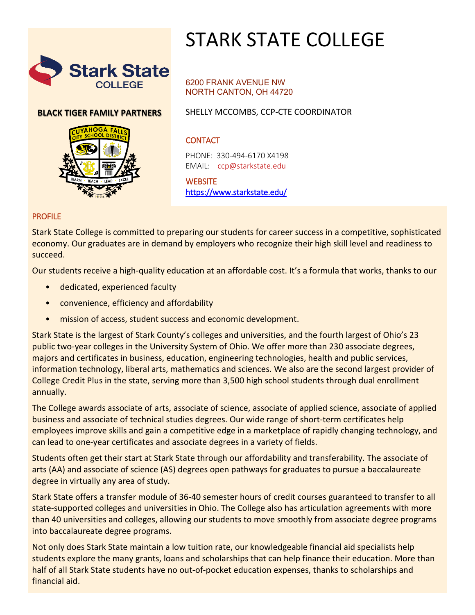

# STARK STATE COLLEGE

### **BLACK TIGER FAMILY PARTNERS**



#### 6200 FRANK AVENUE NW NORTH CANTON, OH 44720

SHELLY MCCOMBS, CCP-CTE COORDINATOR

# **CONTACT**

PHONE: 330-494-6170 X4198 EMAIL: [ccp@starkstate.edu](mailto:ccp@starkstate.edu)

**WEBSITE** <https://www.starkstate.edu/>

#### PROFILE

Stark State College is committed to preparing our students for career success in a competitive, sophisticated economy. Our graduates are in demand by employers who recognize their high skill level and readiness to succeed.

Our students receive a high-quality education at an affordable cost. It's a formula that works, thanks to our

- dedicated, experienced faculty
- convenience, efficiency and affordability
- mission of access, student success and economic development.

Stark State is the largest of Stark County's colleges and universities, and the fourth largest of Ohio's 23 public two-year colleges in the University System of Ohio. We offer more than 230 associate degrees, majors and certificates in business, education, engineering technologies, health and public services, information technology, liberal arts, mathematics and sciences. We also are the second largest provider of College Credit Plus in the state, serving more than 3,500 high school students through dual enrollment annually.

The College awards associate of arts, associate of science, associate of applied science, associate of applied business and associate of technical studies degrees. Our wide range of short-term certificates help employees improve skills and gain a competitive edge in a marketplace of rapidly changing technology, and can lead to one-year certificates and associate degrees in a variety of fields.

Students often get their start at Stark State through our affordability and transferability. The associate of arts (AA) and associate of science (AS) degrees open pathways for graduates to pursue a baccalaureate degree in virtually any area of study.

Stark State offers a transfer module of 36-40 semester hours of credit courses guaranteed to transfer to all state-supported colleges and universities in Ohio. The College also has articulation agreements with more than 40 universities and colleges, allowing our students to move smoothly from associate degree programs into baccalaureate degree programs.

Not only does Stark State maintain a low tuition rate, our knowledgeable financial aid specialists help students explore the many grants, loans and scholarships that can help finance their education. More than half of all Stark State students have no out-of-pocket education expenses, thanks to scholarships and financial aid.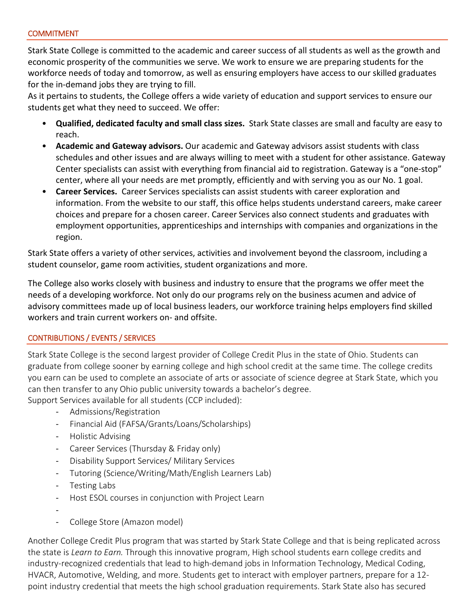Stark State College is committed to the academic and career success of all students as well as the growth and economic prosperity of the communities we serve. We work to ensure we are preparing students for the workforce needs of today and tomorrow, as well as ensuring employers have access to our skilled graduates for the in-demand jobs they are trying to fill.

As it pertains to students, the College offers a wide variety of education and support services to ensure our students get what they need to succeed. We offer:

- **Qualified, dedicated faculty and small class sizes.** Stark State classes are small and faculty are easy to reach.
- **Academic and Gateway advisors.** Our academic and Gateway advisors assist students with class schedules and other issues and are always willing to meet with a student for other assistance. Gateway Center specialists can assist with everything from financial aid to registration. Gateway is a "one-stop" center, where all your needs are met promptly, efficiently and with serving you as our No. 1 goal.
- **Career Services.** Career Services specialists can assist students with career exploration and information. From the website to our staff, this office helps students understand careers, make career choices and prepare for a chosen career. Career Services also connect students and graduates with employment opportunities, apprenticeships and internships with companies and organizations in the region.

Stark State offers a variety of other services, activities and involvement beyond the classroom, including a student counselor, game room activities, student organizations and more.

The College also works closely with business and industry to ensure that the programs we offer meet the needs of a developing workforce. Not only do our programs rely on the business acumen and advice of advisory committees made up of local business leaders, our workforce training helps employers find skilled workers and train current workers on- and offsite.

## CONTRIBUTIONS / EVENTS / SERVICES

Stark State College is the second largest provider of College Credit Plus in the state of Ohio. Students can graduate from college sooner by earning college and high school credit at the same time. The college credits you earn can be used to complete an associate of arts or associate of science degree at Stark State, which you can then transfer to any Ohio public university towards a bachelor's degree.

Support Services available for all students (CCP included):

- Admissions/Registration
- Financial Aid (FAFSA/Grants/Loans/Scholarships)
- Holistic Advising
- Career Services (Thursday & Friday only)
- Disability Support Services/ Military Services
- Tutoring (Science/Writing/Math/English Learners Lab)
- Testing Labs
- Host ESOL courses in conjunction with Project Learn
- -
- College Store (Amazon model)

Another College Credit Plus program that was started by Stark State College and that is being replicated across the state is *Learn to Earn.* Through this innovative program, High school students earn college credits and industry-recognized credentials that lead to high-demand jobs in Information Technology, Medical Coding, HVACR, Automotive, Welding, and more. Students get to interact with employer partners, prepare for a 12 point industry credential that meets the high school graduation requirements. Stark State also has secured